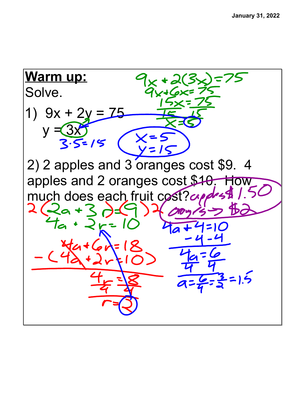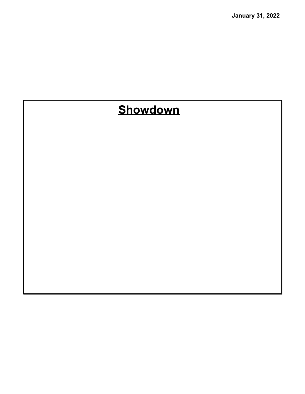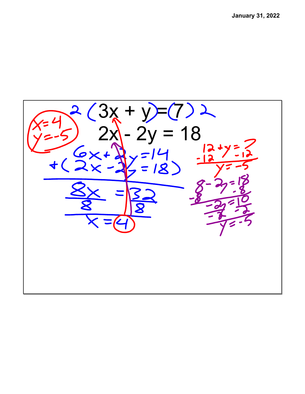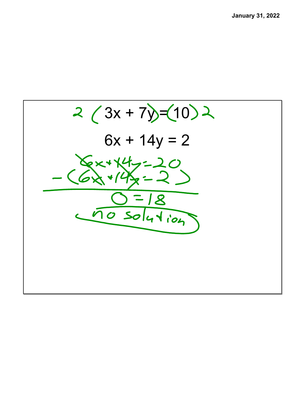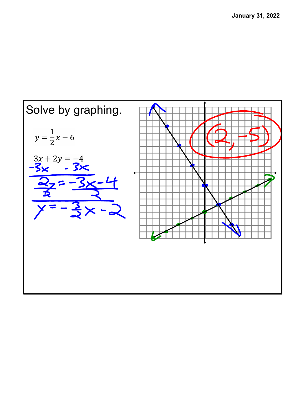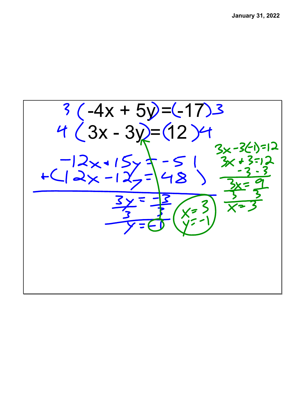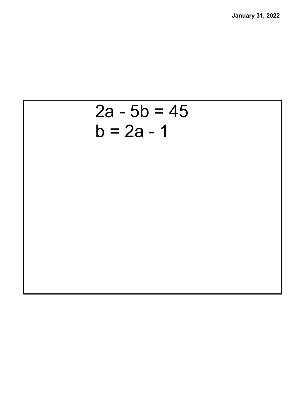## $2a - 5b = 45$  $b = 2a - 1$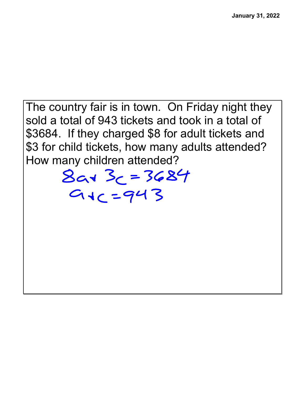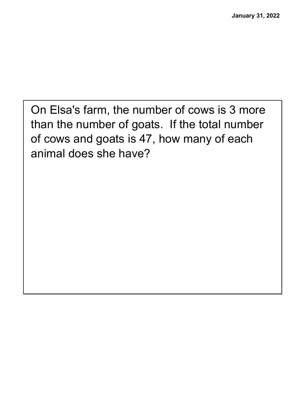On Elsa's farm, the number of cows is 3 more than the number of goats. If the total number of cows and goats is 47, how many of each animal does she have?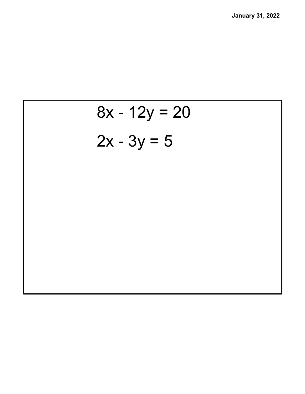![](_page_9_Figure_1.jpeg)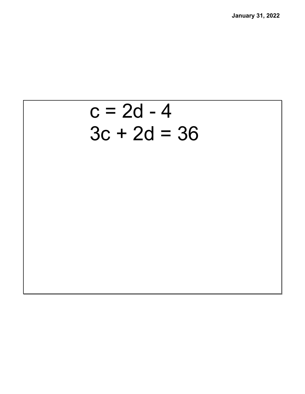## $c = 2d - 4$  $3c + 2d = 36$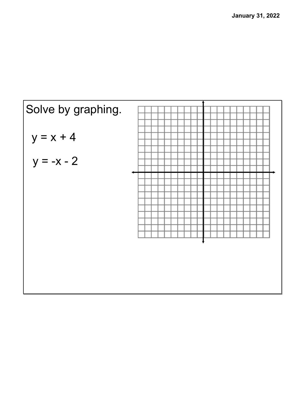![](_page_11_Figure_1.jpeg)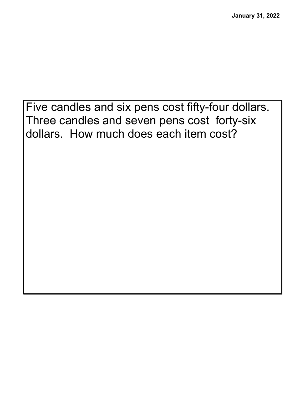Five candles and six pens cost fifty-four dollars. Three candles and seven pens cost forty-six dollars. How much does each item cost?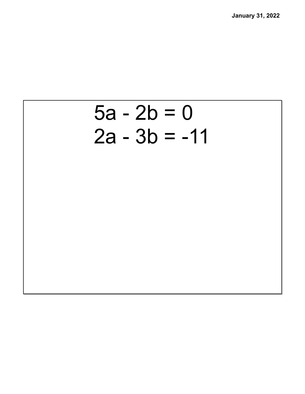![](_page_13_Figure_1.jpeg)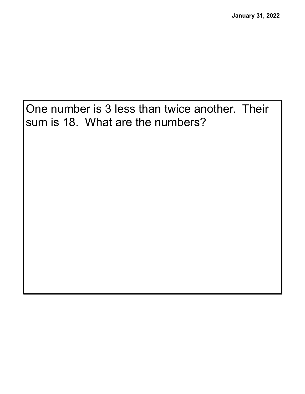One number is 3 less than twice another. Their sum is 18. What are the numbers?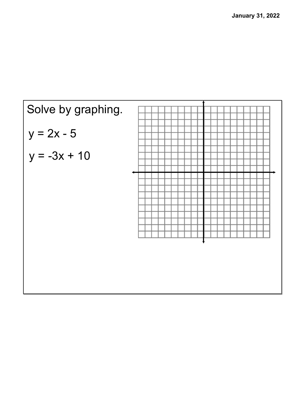![](_page_15_Figure_1.jpeg)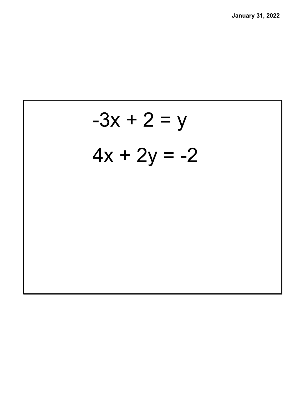![](_page_16_Picture_1.jpeg)